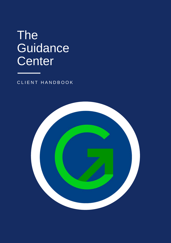## The **Guidance Center**

CLIENT HANDBOOK

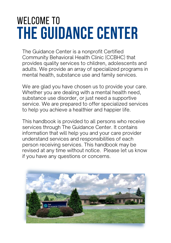# **THE GUIDANCE CENTER** WELCOME TO

The Guidance Center is a nonprofit Certified Community Behavioral Health Clinic (CCBHC) that provides quality services to children, adolescents and adults. We provide an array of specialized programs in mental health, substance use and family services.

We are glad you have chosen us to provide your care. Whether you are dealing with a mental health need, substance use disorder, or just need a supportive service. We are prepared to offer specialized services to help you achieve a healthier and happier life.

This handbook is provided to all persons who receive services through The Guidance Center. It contains information that will help you and your care provider understand services and responsibilities of each person receiving services. This handbook may be revised at any time without notice. Please let us know if you have any questions or concerns.

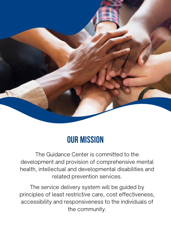

### **OUR MISSION**

The Guidance Center is committed to the development and provision of comprehensive mental health, intellectual and developmental disabilities and related prevention services.

The service delivery system will be guided by principles of least restrictive care, cost effectiveness, accessibility and responsiveness to the individuals of the community.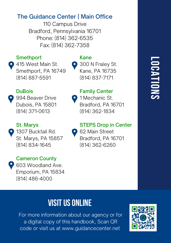### The Guidance Center | Main Office

110 Campus Drive Bradford, Pennsylvania 16701 Phone: (814) 362-6535 Fax: (814) 362-7358

### **Smethport**

415 West Main St. Smethport, PA 16749 (814) 887-5591

### Kane

300 N Fraley St. Kane, PA 16735 (814) 837-7171

Family Center 1 Mechanic St.

### DuBois

994 Beaver Drive Dubois, PA 15801 (814) 371-0613

### St. Marys

**1307 Bucktail Rd.** St. Marys, PA 15857 (814) 834-1645

### Cameron County

603 Woodland Ave. Emporium, PA 15834 (814) 486-4000

### STEPS Drop in Center

**62 Main Street** Bradford, PA 16701 (814) 362-6260

Bradford, PA 16701 (814) 362-1834

### **L O C A TIO N S**

### **VISIT US ONLINE**

For more information about our agency or for a digital copy of this handbook, Scan QR code or visit us at www.guidancecenter.net

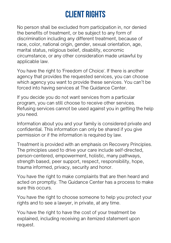### **Client rights**

No person shall be excluded from participation in, nor denied the benefits of treatment, or be subject to any form of discrimination including any different treatment, because of race, color, national origin, gender, sexual orientation, age, marital status, religious belief, disability, economic circumstance, or any other consideration made unlawful by applicable law.

You have the right to 'Freedom of Choice'. If there is another agency that provides the requested services, you can choose which agency you want to provide these services. You can't be forced into having services at The Guidance Center.

If you decide you do not want services from a particular program, you can still choose to receive other services. Refusing services cannot be used against you in getting the help you need.

Information about you and your family is considered private and confidential. This information can only be shared if you give permission or if the information is required by law.

Treatment is provided with an emphasis on Recovery Principles. The principles used to drive your care include self-directed, person-centered, empowerment, holistic, many pathways, strength based, peer support, respect, responsibility, hope, trauma informed, privacy, security and honor.

You have the right to make complaints that are then heard and acted on promptly. The Guidance Center has a process to make sure this occurs.

You have the right to choose someone to help you protect your rights and to see a lawyer, in private, at any time.

You have the right to have the cost of your treatment be explained, including receiving an itemized statement upon request.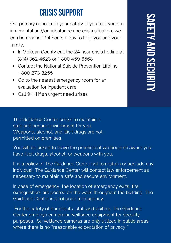### **CRISIS SUPPORT**

Our primary concern is your safety. If you feel you are in a mental and/or substance use crisis situation, we can be reached 24 hours a day to help you and your family.

- In McKean County call the 24-hour crisis hotline at (814) 362-4623 or 1-800-459-6568
- Contact the National Suicide Prevention Lifeline 1-800-273-8255
- Go to the nearest emergency room for an evaluation for inpatient care
- Call 9-1-1 if an urgent need arises

The Guidance Center seeks to maintain a safe and secure environment for you. Weapons, alcohol, and illicit drugs are not permitted on premises.

You will be asked to leave the premises if we become aware you have illicit drugs, alcohol, or weapons with you.

It is a policy of The Guidance Center not to restrain or seclude any individual. The Guidance Center will contact law enforcement as necessary to maintain a safe and secure environment.

In case of emergency, the location of emergency exits, fire extinguishers are posted on the walls throughout the building. The Guidance Center is a tobacco free agency.

For the safety of our clients, staff and visitors, The Guidance Center employs camera surveillance equipment for security purposes. Surveillance cameras are only utilized in public areas where there is no "reasonable expectation of privacy."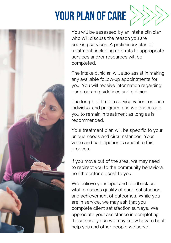# **YOUR PLAN OF CARE**





You will be assessed by an intake clinician who will discuss the reason you are seeking services. A preliminary plan of treatment, including referrals to appropriate services and/or resources will be completed.

The intake clinician will also assist in making any available follow-up appointments for you. You will receive information regarding our program guidelines and policies.

The length of time in service varies for each individual and program, and we encourage you to remain in treatment as long as is recommended.

Your treatment plan will be specific to your unique needs and circumstances. Your voice and participation is crucial to this process.

If you move out of the area, we may need to redirect you to the community behavioral health center closest to you.

We believe your input and feedback are vital to assess quality of care, satisfaction, and achievement of outcomes. While you are in service, we may ask that you complete client satisfaction surveys. We appreciate your assistance in completing these surveys so we may know how to best help you and other people we serve.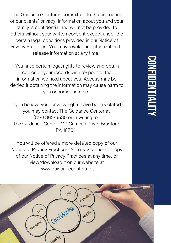The Guidance Center is committed to the protection of our clients' privacy. Information about you and your family is confidential and will not be provided to others without your written consent except under the certain legal conditions provided in our Notice of Privacy Practices. You may revoke an authorization to release information at any time.

You have certain legal rights to review and obtain copies of your records with respect to the information we hold about you. Access may be denied if obtaining the information may cause harm to you or someone else.

If you believe your privacy rights have been violated, you may contact The Guidance Center at (814) 362-6535 or in writing to: The Guidance Center, 110 Campus Drive, Bradford, PA 16701.

You will be offered a more detailed copy of our Notice of Privacy Practices. You may request a copy of our Notice of Privacy Practices at any time, or view/download it on our website at www.guidancecenter.net.

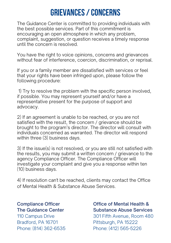### **Grievances/Concerns**

The Guidance Center is committed to providing individuals with the best possible services. Part of this commitment is encouraging an open atmosphere in which any problem, complaint, suggestion, or question receives a timely response until the concern is resolved.

You have the right to voice opinions, concerns and grievances without fear of interference, coercion, discrimination, or reprisal.

If you or a family member are dissatisfied with services or feel that your rights have been infringed upon, please follow the following procedure:

1) Try to resolve the problem with the specific person involved, if possible. You may represent yourself and/or have a representative present for the purpose of support and advocacy.

2) If an agreement is unable to be reached, or you are not satisfied with the result, the concern / grievance should be brought to the program's director. The director will consult with individuals concerned as warranted. The director will respond within three (3) business days.

3) If the issue(s) is not resolved, or you are still not satisfied with the results, you may submit a written concern / grievance to the agency Compliance Officer. The Compliance Officer will investigate your complaint and give you a response within ten (10) business days.

4) If resolution can't be reached, clients may contact the Office of Mental Health & Substance Abuse Services.

#### Compliance Officer The Guidance Center

110 Campus Drive Bradford, PA 16701 Phone: (814) 362-6535

### Office of Mental Health & Substance Abuse Services 301 Fifth Avenue, Room 480 Pittsburgh, PA 15222 Phone: (412) 565-5226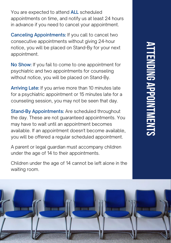You are expected to attend **ALL** scheduled appointments on time, and notify us at least 24 hours in advance if you need to cancel your appointment.

Canceling Appointments: If you call to cancel two consecutive appointments without giving 24-hour notice, you will be placed on Stand-By for your next appointment.

No Show: If you fail to come to one appointment for psychiatric and two appointments for counseling without notice, you will be placed on Stand-By.

Arriving Late: If you arrive more than 10 minutes late for a psychiatric appointment or 15 minutes late for a counseling session, you may not be seen that day.

Stand-By Appointments: Are scheduled throughout the day. These are not guaranteed appointments. You may have to wait until an appointment becomes available. If an appointment doesn't become available, you will be offered a regular scheduled appointment.

A parent or legal guardian must accompany children under the age of 14 to their appointments.

Children under the age of 14 cannot be left alone in the waiting room.

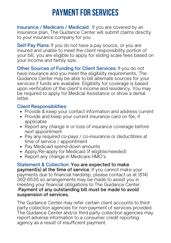### **PAYMENT FOR SERVICES**

Insurance / Medicare / Medicaid: If you are covered by an insurance plan, The Guidance Center will submit claims directly to your insurance company for you.

Self-Pay Plans: If you do not have a pay source, or you are insured and unable to meet the client responsibility portion of your bill, you are eligible to apply for sliding scale fees based on your income and family size.

Other Sources of Funding for Client Services: If you do not have insurance and you meet the eligibility requirements. The Guidance Center may be able to bill alternate sources for your services if funds are available. Eligibility for coverage is based upon verification of the client's income and residency. You may be required to apply for Medical Assistance or show a denial letter.

### Client Responsibilities:

- Provide & keep your contact information and address current
- Provide and keep your current insurance card on file, if applicable
- Report any change in or loss of insurance coverage before next appointment
- Pay any required co-pays / co-insurance or deductibles at time of service / appointment
- Pay Medicaid spend-down amounts
- Apply/Re-apply for Medicaid (if eligible/needed)
- Report any change in Medicare HMO's

Statement & Collection: You are expected to make payment(s) at the time of service. If you cannot make your payments due to financial hardship, please contact us at (814) 362-6535 so arrangements may be made to assist you in meeting your financial obligations to The Guidance Center. Payment of any outstanding bill must be made to avoid suspension of services.

The Guidance Center may refer certain client accounts to thirdparty collection agencies for non-payment of services provided. The Guidance Center and/or third party collection agencies may report adverse information to a consumer credit reporting agency as a result of insufficient payment.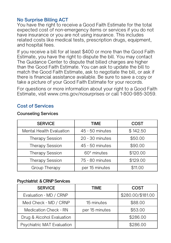#### No Surprise Billing ACT

You have the right to receive a Good Faith Estimate for the total expected cost of non-emergency items or services if you do not have insurance or you are not using insurance. This includes related costs like medical tests, prescription drugs, equipment, and hospital fees.

If you receive a bill for at least \$400 or more than the Good Faith Estimate, you have the right to dispute the bill. You may contact The Guidance Center to dispute that billed charges are higher than the Good Faith Estimate. You can ask to update the bill to match the Good Faith Estimate, ask to negotiate the bill, or ask if there is financial assistance available. Be sure to save a copy or take a picture of your Good Faith Estimate for your records.

For questions or more information about your right to a Good Faith Estimate, visit www.cms.gov/nosurprises or call 1-800-985-3059.

### Cost of Services

#### Counseling Services

| <b>SERVICE</b>                  | TIME            | <b>COST</b> |
|---------------------------------|-----------------|-------------|
| <b>Mental Health Evaluation</b> | 45 - 50 minutes | \$142.50    |
| <b>Therapy Session</b>          | 20 - 30 minutes | \$50.00     |
| <b>Therapy Session</b>          | 45 - 50 minutes | \$90.00     |
| <b>Therapy Session</b>          | 60* minutes     | \$120.00    |
| <b>Therapy Session</b>          | 75 - 80 minutes | \$129.00    |
| Group Therapy                   | per 15 minutes  | \$11.00     |

#### Psychiatrist & CRNP Services

| <b>SERVICE</b>               | TIME           | COST              |
|------------------------------|----------------|-------------------|
| Evaluation - MD / CRNP       |                | \$280.00/\$181.00 |
| Med Check - MD / CRNP        | 15 minutes     | \$88.00           |
| <b>Medication Check - RN</b> | per 15 minutes | \$53.00           |
| Drug & Alcohol Evaluation    |                | \$286.00          |
| Psychiatric MAT Evaluation   |                | \$286.00          |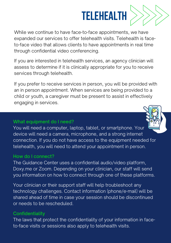

While we continue to have face-to-face appointments, we have expanded our services to offer telehealth visits. Telehealth is faceto-face video that allows clients to have appointments in real time through confidential video conferencing.

If you are interested in telehealth services, an agency clinician will assess to determine if it is clinically appropriate for you to receive services through telehealth.

If you prefer to receive services in person, you will be provided with an in person appointment. When services are being provided to a child or youth, a caregiver must be present to assist in effectively engaging in services.

### What equipment do I need?

You will need a computer, laptop, tablet, or smartphone. Your device will need a camera, microphone, and a strong internet connection. If you do not have access to the equipment needed for telehealth, you will need to attend your appointment in person.

#### How do I connect?

The Guidance Center uses a confidential audio/video platform, Doxy.me or Zoom. Depending on your clinician, our staff will send you information on how to connect through one of these platforms.

Your clinician or their support staff will help troubleshoot any technology challenges. Contact information (phone/e-mail) will be shared ahead of time in case your session should be discontinued or needs to be rescheduled.

### **Confidentiality**

The laws that protect the confidentiality of your information in faceto-face visits or sessions also apply to telehealth visits.